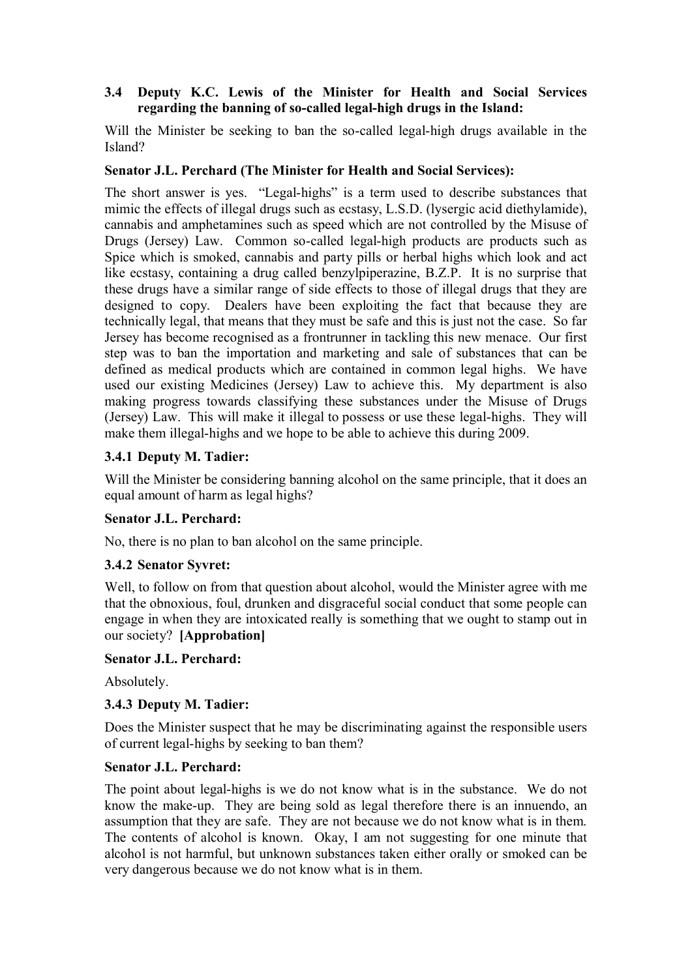## **3.4** � **Deputy K.C. Lewis of the Minister for Health and Social Services regarding the banning of so-called legal-high drugs in the Island:**

Will the Minister be seeking to ban the so-called legal-high drugs available in the Island?

## **Senator J.L. Perchard (The Minister for Health and Social Services):**

The short answer is yes. "Legal-highs" is a term used to describe substances that mimic the effects of illegal drugs such as ecstasy, L.S.D. (lysergic acid diethylamide), cannabis and amphetamines such as speed which are not controlled by the Misuse of Drugs (Jersey) Law. Common so-called legal-high products are products such as Spice which is smoked, cannabis and party pills or herbal highs which look and act like ecstasy, containing a drug called benzylpiperazine, B.Z.P. It is no surprise that these drugs have a similar range of side effects to those of illegal drugs that they are designed to copy. Dealers have been exploiting the fact that because they are technically legal, that means that they must be safe and this is just not the case. So far Jersey has become recognised as a frontrunner in tackling this new menace. Our first step was to ban the importation and marketing and sale of substances that can be defined as medical products which are contained in common legal highs. We have used our existing Medicines (Jersey) Law to achieve this. My department is also making progress towards classifying these substances under the Misuse of Drugs (Jersey) Law. This will make it illegal to possess or use these legal-highs. They will make them illegal-highs and we hope to be able to achieve this during 2009.

# **3.4.1 Deputy M. Tadier:**

Will the Minister be considering banning alcohol on the same principle, that it does an equal amount of harm as legal highs?

## **Senator J.L. Perchard:**

No, there is no plan to ban alcohol on the same principle.

## **3.4.2 Senator Syvret:**

Well, to follow on from that question about alcohol, would the Minister agree with me that the obnoxious, foul, drunken and disgraceful social conduct that some people can engage in when they are intoxicated really is something that we ought to stamp out in our society? **[Approbation]** 

#### **Senator J.L. Perchard:**

Absolutely.

## **3.4.3 Deputy M. Tadier:**

Does the Minister suspect that he may be discriminating against the responsible users of current legal-highs by seeking to ban them?

#### **Senator J.L. Perchard:**

The point about legal-highs is we do not know what is in the substance. We do not know the make-up. They are being sold as legal therefore there is an innuendo, an assumption that they are safe. They are not because we do not know what is in them. The contents of alcohol is known. Okay, I am not suggesting for one minute that alcohol is not harmful, but unknown substances taken either orally or smoked can be very dangerous because we do not know what is in them.